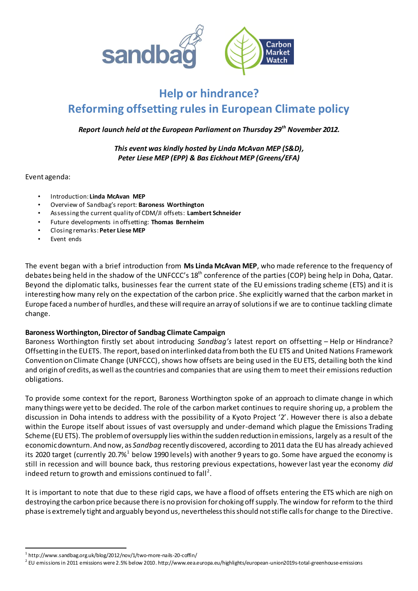

# **Help or hindrance? Reforming offsetting rules in European Climate policy**

*Report launch held at the European Parliament on Thursday 29th November 2012.*

*This event was kindly hosted by Linda McAvan MEP (S&D), Peter Liese MEP (EPP) & Bas Eickhout MEP (Greens/EFA)*

Event agenda:

- Introduction: **Linda McAvan MEP**
- Overview of Sandbag's report: **Baroness Worthington**
- Assessing the current quality of CDM/JI offsets: **Lambert Schneider**
- Future developments in offsetting: **Thomas Bernheim**
- Closing remarks: **Peter Liese MEP**
- Event ends

The event began with a brief introduction from **Ms Linda McAvan MEP**, who made reference to the frequency of debates being held in the shadow of the UNFCCC's 18<sup>th</sup> conference of the parties (COP) being help in Doha, Qatar. Beyond the diplomatic talks, businesses fear the current state of the EU emissions trading scheme (ETS) and it is interesting how many rely on the expectation of the carbon price. She explicitly warned that the carbon market in Europe faced a number of hurdles, and these will require an array of solutions if we are to continue tackling climate change.

### **Baroness Worthington, Director of Sandbag Climate Campaign**

Baroness Worthington firstly set about introducing *Sandbag's* latest report on offsetting – Help or Hindrance? Offsetting in the EU ETS. The report, based on interlinked data from both the EU ETS and United Nations Framework Convention on Climate Change (UNFCCC), shows how offsets are being used in the EU ETS, detailing both the kind and origin of credits, as well asthe countries and companies that are using them to meet their emissions reduction obligations.

To provide some context for the report, Baroness Worthington spoke of an approach to climate change in which many things were yet to be decided. The role of the carbon market continues to require shoring up, a problem the discussion in Doha intends to address with the possibility of a Kyoto Project '2'. However there is also a debate within the Europe itself about issues of vast oversupply and under-demand which plague the Emissions Trading Scheme (EU ETS). The problem of oversupply lies within the sudden reduction in emissions, largely as a result of the economic downturn. And now, as *Sandbag* recently discovered, according to 2011 data the EU has already achieved its 2020 target (currently 20.7% $^{\rm 1}$  below 1990 levels) with another 9 years to go. Some have argued the economy is still in recession and will bounce back, thus restoring previous expectations, however last year the economy *did* indeed return to growth and emissions continued to fall<sup>2</sup>.

It is important to note that due to these rigid caps, we have a flood of offsets entering the ETS which are nigh on destroying the carbon price because there is no provision for choking off supply. The window for reform to the third phase is extremely tight and arguably beyond us, nevertheless this should not stifle calls for change to the Directive.

 $\overline{a}$ 

<sup>1</sup> http://www.sandbag.org.uk/blog/2012/nov/1/two-more-nails-20-coffin/

 $^2$  EU emissions in 2011 emissions were 2.5% below 2010. http://www.eea.europa.eu/highlights/european-union2019s-total-greenhouse-emissions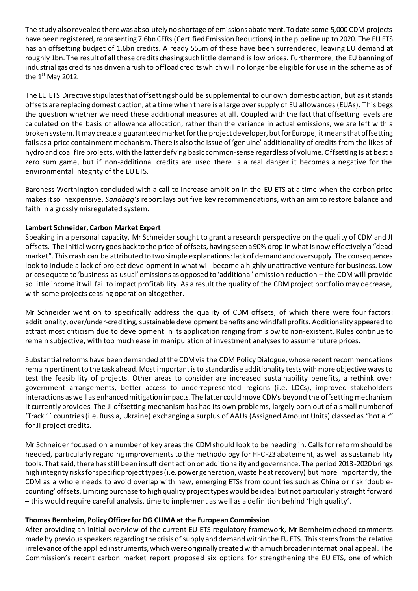The study also revealed there was absolutely no shortage of emissions abatement. To date some 5,000 CDM projects have been registered, representing 7.6bn CERs (Certified Emission Reductions) in the pipeline up to 2020. The EU ETS has an offsetting budget of 1.6bn credits. Already 555m of these have been surrendered, leaving EU demand at roughly 1bn. The result of all these credits chasing such little demand is low prices. Furthermore, the EU banning of industrial gas credits has driven a rush to offload credits which will no longer be eligible for use in the scheme as of the  $1<sup>st</sup>$  May 2012.

The EU ETS Directive stipulates that offsetting should be supplemental to our own domestic action, but as it stands offsets are replacing domestic action, at a time when there is a large over supply of EU allowances (EUAs). This begs the question whether we need these additional measures at all. Coupled with the fact that offsetting levels are calculated on the basis of allowance allocation, rather than the variance in actual emissions, we are left with a broken system. It may create a guaranteed market for the project developer, but for Europe, itmeans that offsetting fails as a price containment mechanism. There is also the issue of 'genuine' additionality of credits from the likes of hydro and coal fire projects, with the latter defying basic common-sense regardless of volume. Offsetting is at best a zero sum game, but if non-additional credits are used there is a real danger it becomes a negative for the environmental integrity of the EU ETS.

Baroness Worthington concluded with a call to increase ambition in the EU ETS at a time when the carbon price makes it so inexpensive. *Sandbag's* report lays out five key recommendations, with an aim to restore balance and faith in a grossly misregulated system.

## **Lambert Schneider, Carbon Market Expert**

Speaking in a personal capacity, Mr Schneider sought to grant a research perspective on the quality of CDM and JI offsets. The initial worry goes back to the price of offsets, having seen a 90% drop in what is now effectively a "dead market". This crash can be attributed to two simple explanations: lack of demand and oversupply. The consequences look to include a lack of project development in what will become a highly unattractive venture for business. Low prices equate to 'business-as-usual' emissions as opposed to 'additional' emission reduction – the CDM will provide so little income it will fail to impact profitability. As a result the quality of the CDM project portfolio may decrease, with some projects ceasing operation altogether.

Mr Schneider went on to specifically address the quality of CDM offsets, of which there were four factors: additionality, over/under-crediting, sustainable development benefits and windfall profits. Additionality appeared to attract most criticism due to development in its application ranging from slow to non-existent. Rules continue to remain subjective, with too much ease in manipulation of investment analyses to assume future prices.

Substantial reforms have been demanded of the CDM via the CDM Policy Dialogue, whose recent recommendations remain pertinent to the task ahead. Most important is to standardise additionality tests with more objective ways to test the feasibility of projects. Other areas to consider are increased sustainability benefits, a rethink over government arrangements, better access to underrepresented regions (i.e. LDCs), improved stakeholders interactions as well as enhanced mitigation impacts. The latter could move CDMs beyond the offsetting mechanism it currently provides. The JI offsetting mechanism has had its own problems, largely born out of a small number of 'Track 1' countries (i.e. Russia, Ukraine) exchanging a surplus of AAUs (Assigned Amount Units) classed as "hot air" for JI project credits.

Mr Schneider focused on a number of key areas the CDM should look to be heading in. Calls for reform should be heeded, particularly regarding improvements to the methodology for HFC-23 abatement, as well as sustainability tools. That said, there has still been insufficient action on additionality and governance. The period 2013-2020 brings high integrity risks for specific project types (i.e. power generation, waste heat recovery) but more importantly, the CDM as a whole needs to avoid overlap with new, emerging ETSs from countries such as China or risk 'doublecounting' offsets. Limiting purchase to high quality project types would be ideal but not particularly straight forward – this would require careful analysis, time to implement as well as a definition behind 'high quality'.

### **Thomas Bernheim, Policy Officer for DG CLIMA at the European Commission**

After providing an initial overview of the current EU ETS regulatory framework, Mr Bernheim echoed comments made by previous speakers regarding the crisis of supply and demand within the EU ETS. This stems from the relative irrelevance of the applied instruments, which were originally created with a much broaderinternational appeal. The Commission's recent carbon market report proposed six options for strengthening the EU ETS, one of which